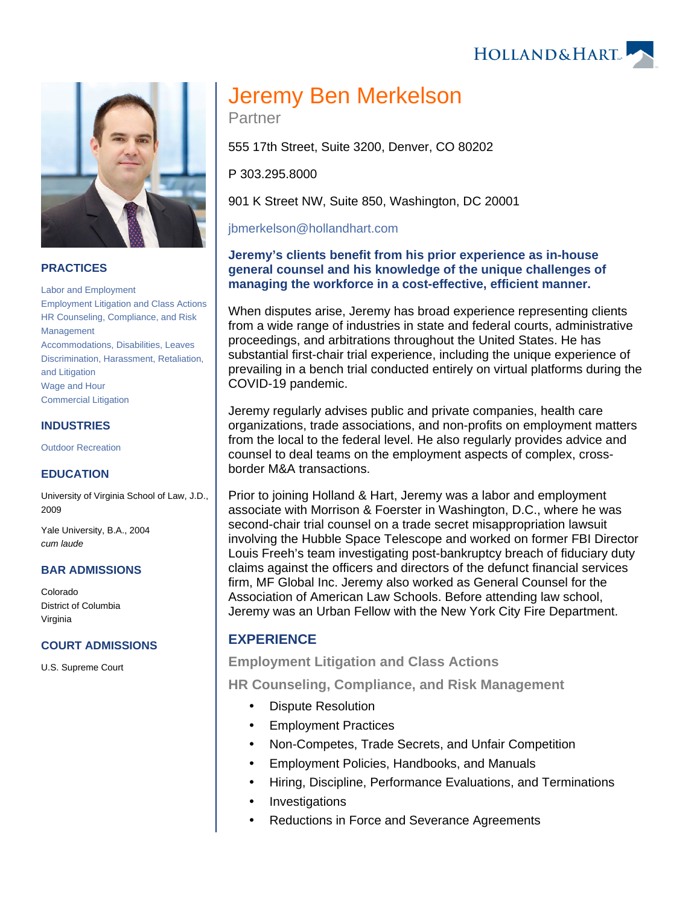



## **PRACTICES**

[Labor and Employment](https://www.hollandhart.com/19672) [Employment Litigation and Class Actions](https://www.hollandhart.com/19746) [HR Counseling, Compliance, and Risk](https://www.hollandhart.com/28499)  [Management](https://www.hollandhart.com/28499) [Accommodations, Disabilities, Leaves](https://www.hollandhart.com/28486) [Discrimination, Harassment, Retaliation,](https://www.hollandhart.com/28496)  [and Litigation](https://www.hollandhart.com/28496) [Wage and Hour](https://www.hollandhart.com/28507) [Commercial Litigation](https://www.hollandhart.com/19684)

### **INDUSTRIES**

[Outdoor Recreation](https://www.hollandhart.com/34315)

#### **EDUCATION**

University of Virginia School of Law, J.D., 2009

Yale University, B.A., 2004 cum laude

#### **BAR ADMISSIONS**

Colorado District of Columbia Virginia

#### **COURT ADMISSIONS**

U.S. Supreme Court

# Jeremy Ben Merkelson

Partner

555 17th Street, Suite 3200, Denver, CO 80202

P 303.295.8000

901 K Street NW, Suite 850, Washington, DC 20001

[jbmerkelson@hollandhart.com](mailto:jbmerkelson@hollandhart.com)

## **Jeremy's clients benefit from his prior experience as in-house general counsel and his knowledge of the unique challenges of managing the workforce in a cost-effective, efficient manner.**

When disputes arise, Jeremy has broad experience representing clients from a wide range of industries in state and federal courts, administrative proceedings, and arbitrations throughout the United States. He has substantial first-chair trial experience, including the unique experience of prevailing in a bench trial conducted entirely on virtual platforms during the COVID-19 pandemic.

Jeremy regularly advises public and private companies, health care organizations, trade associations, and non-profits on employment matters from the local to the federal level. He also regularly provides advice and counsel to deal teams on the employment aspects of complex, crossborder M&A transactions.

Prior to joining Holland & Hart, Jeremy was a labor and employment associate with Morrison & Foerster in Washington, D.C., where he was second-chair trial counsel on a trade secret misappropriation lawsuit involving the Hubble Space Telescope and worked on former FBI Director Louis Freeh's team investigating post-bankruptcy breach of fiduciary duty claims against the officers and directors of the defunct financial services firm, MF Global Inc. Jeremy also worked as General Counsel for the Association of American Law Schools. Before attending law school, Jeremy was an Urban Fellow with the New York City Fire Department.

## **EXPERIENCE**

### **Employment Litigation and Class Actions**

**HR Counseling, Compliance, and Risk Management**

- Dispute Resolution
- Employment Practices
- Non-Competes, Trade Secrets, and Unfair Competition
- Employment Policies, Handbooks, and Manuals
- Hiring, Discipline, Performance Evaluations, and Terminations
- Investigations
- Reductions in Force and Severance Agreements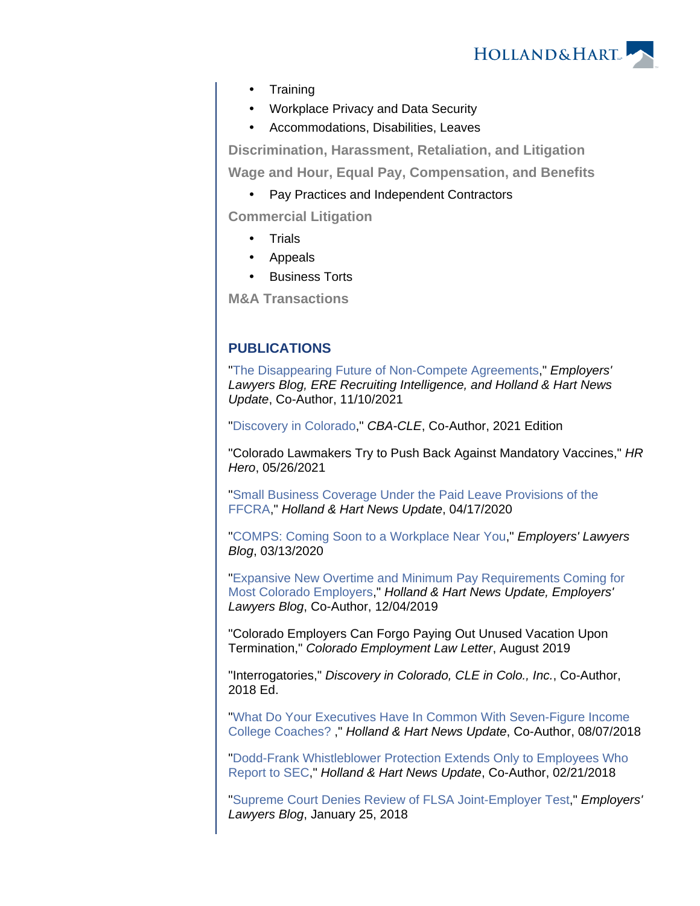

- **Training**
- Workplace Privacy and Data Security
- Accommodations, Disabilities, Leaves

**Discrimination, Harassment, Retaliation, and Litigation**

**Wage and Hour, Equal Pay, Compensation, and Benefits**

• Pay Practices and Independent Contractors

**Commercial Litigation**

- **Trials**
- Appeals
- Business Torts

**M&A Transactions**

# **PUBLICATIONS**

"[The Disappearing Future of Non-Compete Agreements,](https://www.hollandhart.com/41555)" Employers' Lawyers Blog, ERE Recruiting Intelligence, and Holland & Hart News Update, Co-Author, 11/10/2021

"[Discovery in Colorado](https://cle.cobar.org/Books/Product-Info/productcd/ZDICOE21E)," CBA-CLE, Co-Author, 2021 Edition

"Colorado Lawmakers Try to Push Back Against Mandatory Vaccines," HR Hero, 05/26/2021

"[Small Business Coverage Under the Paid Leave Provisions of the](https://www.hollandhart.com/37438)  [FFCRA](https://www.hollandhart.com/37438)," Holland & Hart News Update, 04/17/2020

"[COMPS: Coming Soon to a Workplace Near You,](https://www.employerslawyersblog.com/2020/03/comps-coming-soon-to-a-workplace-near-you.html)" Employers' Lawyers Blog, 03/13/2020

"[Expansive New Overtime and Minimum Pay Requirements Coming for](https://www.hollandhart.com/36884)  [Most Colorado Employers](https://www.hollandhart.com/36884)," Holland & Hart News Update, Employers' Lawyers Blog, Co-Author, 12/04/2019

"Colorado Employers Can Forgo Paying Out Unused Vacation Upon Termination," Colorado Employment Law Letter, August 2019

"Interrogatories," Discovery in Colorado, CLE in Colo., Inc., Co-Author, 2018 Ed.

"[What Do Your Executives Have In Common With Seven-Figure Income](https://www.hollandhart.com/34723)  [College Coaches? ,](https://www.hollandhart.com/34723)" Holland & Hart News Update, Co-Author, 08/07/2018

"[Dodd-Frank Whistleblower Protection Extends Only to Employees Who](https://www.hollandhart.com/34050)  [Report to SEC,](https://www.hollandhart.com/34050)" Holland & Hart News Update, Co-Author, 02/21/2018

"[Supreme Court Denies Review of FLSA Joint-Employer Test](http://www.employerslawyersblog.com/2018/01/supreme-court-denies-review-of-flsa-joint-employer-test.html)," Employers' Lawyers Blog, January 25, 2018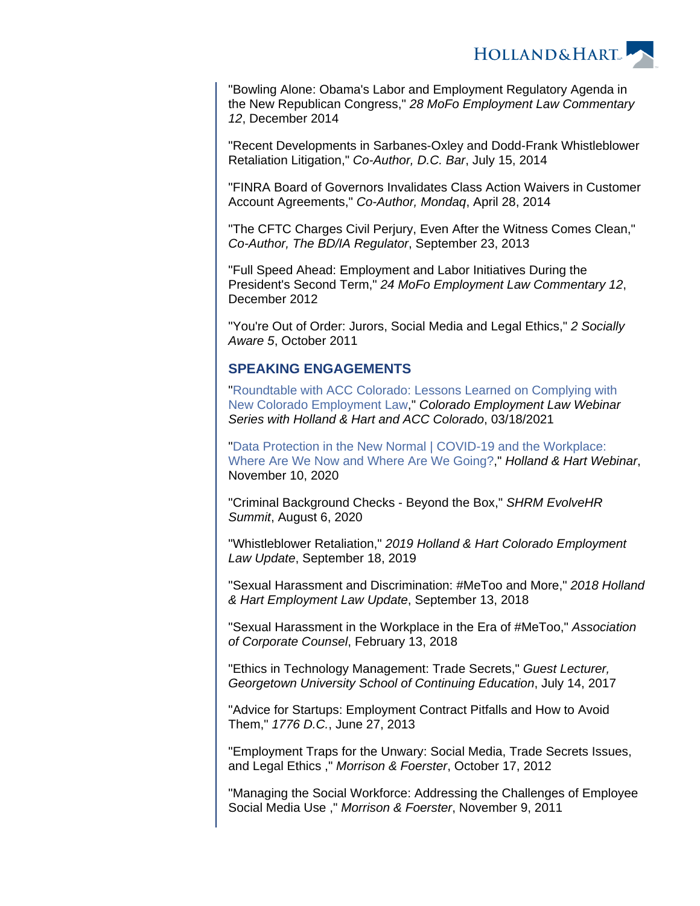

"Bowling Alone: Obama's Labor and Employment Regulatory Agenda in the New Republican Congress," 28 MoFo Employment Law Commentary 12, December 2014

"Recent Developments in Sarbanes-Oxley and Dodd-Frank Whistleblower Retaliation Litigation," Co-Author, D.C. Bar, July 15, 2014

"FINRA Board of Governors Invalidates Class Action Waivers in Customer Account Agreements," Co-Author, Mondaq, April 28, 2014

"The CFTC Charges Civil Perjury, Even After the Witness Comes Clean," Co-Author, The BD/IA Regulator, September 23, 2013

"Full Speed Ahead: Employment and Labor Initiatives During the President's Second Term," 24 MoFo Employment Law Commentary 12, December 2012

"You're Out of Order: Jurors, Social Media and Legal Ethics," 2 Socially Aware 5, October 2011

## **SPEAKING ENGAGEMENTS**

"[Roundtable with ACC Colorado: Lessons Learned on Complying with](https://www.youtube.com/watch?v=OOJWNqo9mQU)  [New Colorado Employment Law,](https://www.youtube.com/watch?v=OOJWNqo9mQU)" Colorado Employment Law Webinar Series with Holland & Hart and ACC Colorado, 03/18/2021

"[Data Protection in the New Normal | COVID-19 and the Workplace:](https://www.youtube.com/watch?v=ttQ3rqDBQs4&feature=youtu.be)  [Where Are We Now and Where Are We Going?](https://www.youtube.com/watch?v=ttQ3rqDBQs4&feature=youtu.be)," Holland & Hart Webinar, November 10, 2020

"Criminal Background Checks - Beyond the Box," SHRM EvolveHR Summit, August 6, 2020

"Whistleblower Retaliation," 2019 Holland & Hart Colorado Employment Law Update, September 18, 2019

"Sexual Harassment and Discrimination: #MeToo and More," 2018 Holland & Hart Employment Law Update, September 13, 2018

"Sexual Harassment in the Workplace in the Era of #MeToo," Association of Corporate Counsel, February 13, 2018

"Ethics in Technology Management: Trade Secrets," Guest Lecturer, Georgetown University School of Continuing Education, July 14, 2017

"Advice for Startups: Employment Contract Pitfalls and How to Avoid Them," 1776 D.C., June 27, 2013

"Employment Traps for the Unwary: Social Media, Trade Secrets Issues, and Legal Ethics ," Morrison & Foerster, October 17, 2012

"Managing the Social Workforce: Addressing the Challenges of Employee Social Media Use ," Morrison & Foerster, November 9, 2011